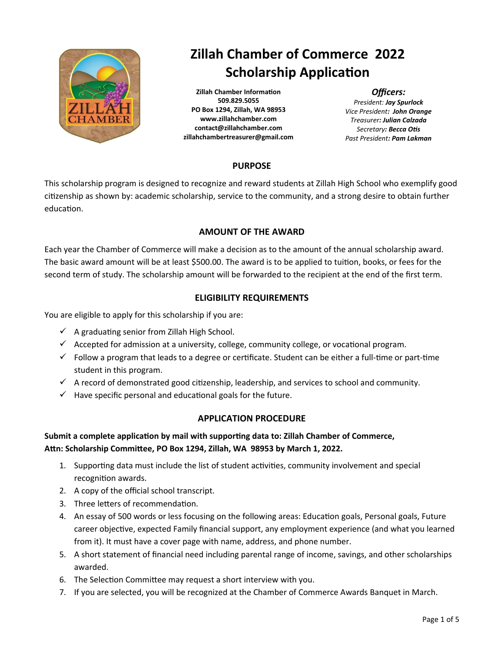

# **Zillah Chamber of Commerce 2022 Scholarship Application**

**Zillah Chamber Information 509.829.5055 PO Box 1294, Zillah, WA 98953 www.zillahchamber.com contact@zillahchamber.com zillahchambertreasurer@gmail.com**

#### *Officers:*

*President: Jay Spurlock Vice President: John Orange Treasurer: Julian Calzada Secretary: Becca Otis Past President: Pam Lakman*

### **PURPOSE**

This scholarship program is designed to recognize and reward students at Zillah High School who exemplify good citizenship as shown by: academic scholarship, service to the community, and a strong desire to obtain further education.

#### **AMOUNT OF THE AWARD**

Each year the Chamber of Commerce will make a decision as to the amount of the annual scholarship award. The basic award amount will be at least \$500.00. The award is to be applied to tuition, books, or fees for the second term of study. The scholarship amount will be forwarded to the recipient at the end of the first term.

### **ELIGIBILITY REQUIREMENTS**

You are eligible to apply for this scholarship if you are:

- $\checkmark$  A graduating senior from Zillah High School.
- $\checkmark$  Accepted for admission at a university, college, community college, or vocational program.
- $\checkmark$  Follow a program that leads to a degree or certificate. Student can be either a full-time or part-time student in this program.
- $\checkmark$  A record of demonstrated good citizenship, leadership, and services to school and community.
- $\checkmark$  Have specific personal and educational goals for the future.

### **APPLICATION PROCEDURE**

### **Submit a complete application by mail with supporting data to: Zillah Chamber of Commerce, Attn: Scholarship Committee, PO Box 1294, Zillah, WA 98953 by March 1, 2022.**

- 1. Supporting data must include the list of student activities, community involvement and special recognition awards.
- 2. A copy of the official school transcript.
- 3. Three letters of recommendation.
- 4. An essay of 500 words or less focusing on the following areas: Education goals, Personal goals, Future career objective, expected Family financial support, any employment experience (and what you learned from it). It must have a cover page with name, address, and phone number.
- 5. A short statement of financial need including parental range of income, savings, and other scholarships awarded.
- 6. The Selection Committee may request a short interview with you.
- 7. If you are selected, you will be recognized at the Chamber of Commerce Awards Banquet in March.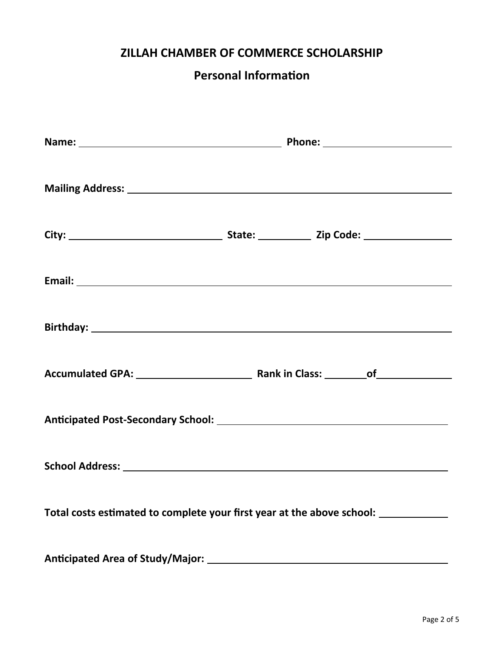## **Personal Information**

| Total costs estimated to complete your first year at the above school: __________ |  |  |  |  |  |  |  |
|-----------------------------------------------------------------------------------|--|--|--|--|--|--|--|
|                                                                                   |  |  |  |  |  |  |  |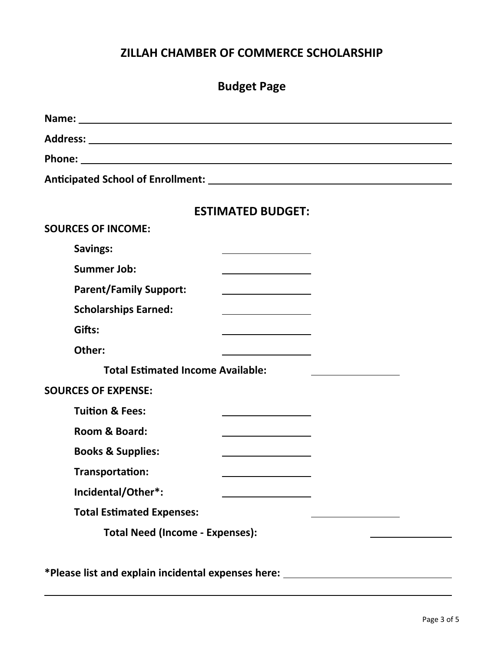| <b>Budget Page</b>                                                                                                                                                                                                                                               |  |  |  |  |  |  |
|------------------------------------------------------------------------------------------------------------------------------------------------------------------------------------------------------------------------------------------------------------------|--|--|--|--|--|--|
|                                                                                                                                                                                                                                                                  |  |  |  |  |  |  |
|                                                                                                                                                                                                                                                                  |  |  |  |  |  |  |
|                                                                                                                                                                                                                                                                  |  |  |  |  |  |  |
|                                                                                                                                                                                                                                                                  |  |  |  |  |  |  |
| <b>ESTIMATED BUDGET:</b>                                                                                                                                                                                                                                         |  |  |  |  |  |  |
| <b>SOURCES OF INCOME:</b>                                                                                                                                                                                                                                        |  |  |  |  |  |  |
| <b>Savings:</b><br>the control of the control of the control of the control of                                                                                                                                                                                   |  |  |  |  |  |  |
| <b>Summer Job:</b>                                                                                                                                                                                                                                               |  |  |  |  |  |  |
| <b>Parent/Family Support:</b><br><u> 1989 - Johann Barbara, martxa alemaniar a</u>                                                                                                                                                                               |  |  |  |  |  |  |
| <b>Scholarships Earned:</b><br><u> 1989 - Johann Barn, amerikansk politiker (</u>                                                                                                                                                                                |  |  |  |  |  |  |
| Gifts:<br>$\mathcal{L}^{\mathcal{L}}(\mathcal{L}^{\mathcal{L}})$ and the contract of the contract of the contract of the contract of the contract of the contract of the contract of the contract of the contract of the contract of the contract of the contrac |  |  |  |  |  |  |
| Other:<br>the control of the control of the control of                                                                                                                                                                                                           |  |  |  |  |  |  |
| <b>Total Estimated Income Available:</b>                                                                                                                                                                                                                         |  |  |  |  |  |  |
| <b>SOURCES OF EXPENSE:</b>                                                                                                                                                                                                                                       |  |  |  |  |  |  |
| <b>Tuition &amp; Fees:</b>                                                                                                                                                                                                                                       |  |  |  |  |  |  |
| Room & Board:                                                                                                                                                                                                                                                    |  |  |  |  |  |  |
| <b>Books &amp; Supplies:</b>                                                                                                                                                                                                                                     |  |  |  |  |  |  |
| Transportation:                                                                                                                                                                                                                                                  |  |  |  |  |  |  |
| Incidental/Other*:                                                                                                                                                                                                                                               |  |  |  |  |  |  |
| <b>Total Estimated Expenses:</b>                                                                                                                                                                                                                                 |  |  |  |  |  |  |
| <b>Total Need (Income - Expenses):</b>                                                                                                                                                                                                                           |  |  |  |  |  |  |
|                                                                                                                                                                                                                                                                  |  |  |  |  |  |  |
| *Please list and explain incidental expenses here: ________                                                                                                                                                                                                      |  |  |  |  |  |  |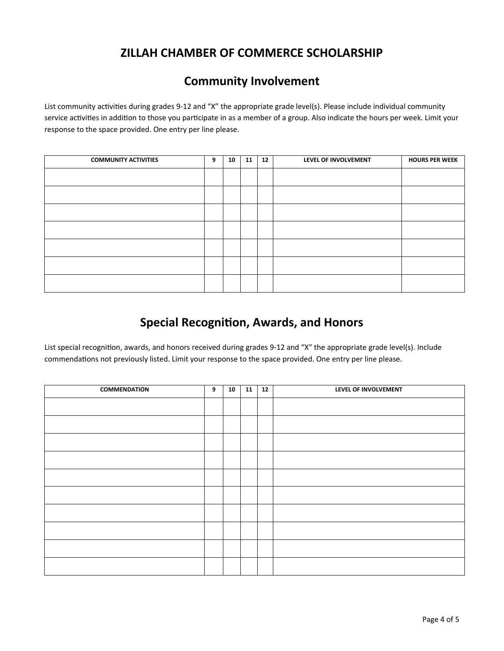### **Community Involvement**

List community activities during grades 9-12 and "X" the appropriate grade level(s). Please include individual community service activities in addition to those you participate in as a member of a group. Also indicate the hours per week. Limit your response to the space provided. One entry per line please.

| <b>COMMUNITY ACTIVITIES</b> | 9 | 10 | 11 | 12 | LEVEL OF INVOLVEMENT | <b>HOURS PER WEEK</b> |
|-----------------------------|---|----|----|----|----------------------|-----------------------|
|                             |   |    |    |    |                      |                       |
|                             |   |    |    |    |                      |                       |
|                             |   |    |    |    |                      |                       |
|                             |   |    |    |    |                      |                       |
|                             |   |    |    |    |                      |                       |
|                             |   |    |    |    |                      |                       |
|                             |   |    |    |    |                      |                       |

## **Special Recognition, Awards, and Honors**

List special recognition, awards, and honors received during grades 9-12 and "X" the appropriate grade level(s). Include commendations not previously listed. Limit your response to the space provided. One entry per line please.

| COMMENDATION | 9 | 10 | 11 | 12 | LEVEL OF INVOLVEMENT |
|--------------|---|----|----|----|----------------------|
|              |   |    |    |    |                      |
|              |   |    |    |    |                      |
|              |   |    |    |    |                      |
|              |   |    |    |    |                      |
|              |   |    |    |    |                      |
|              |   |    |    |    |                      |
|              |   |    |    |    |                      |
|              |   |    |    |    |                      |
|              |   |    |    |    |                      |
|              |   |    |    |    |                      |